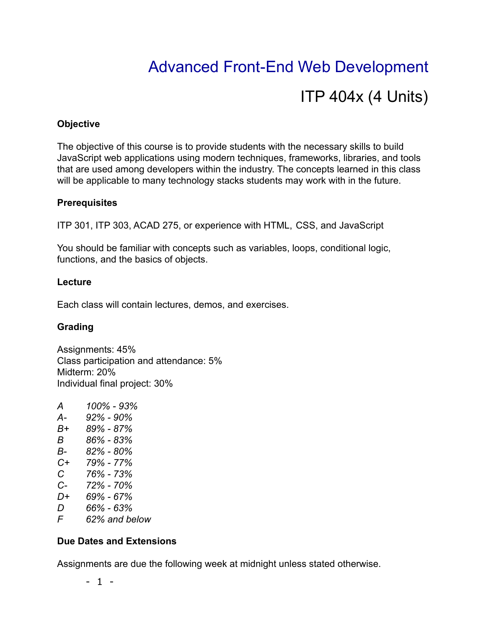# Advanced Front-End Web Development

# ITP 404x (4 Units)

#### **Objective**

The objective of this course is to provide students with the necessary skills to build JavaScript web applications using modern techniques, frameworks, libraries, and tools that are used among developers within the industry. The concepts learned in this class will be applicable to many technology stacks students may work with in the future.

#### **Prerequisites**

ITP 301, ITP 303, ACAD 275, or experience with HTML, CSS, and JavaScript

You should be familiar with concepts such as variables, loops, conditional logic, functions, and the basics of objects.

## **Lecture**

Each class will contain lectures, demos, and exercises.

## **Grading**

Assignments: 45% Class participation and attendance: 5% Midterm: 20% Individual final project: 30%

- *A 100% 93% A- 92% - 90% B+ 89% - 87% B 86% - 83% B- 82% - 80% C+ 79% - 77% C 76% - 73% C- 72% - 70% D+ 69% - 67% D 66% - 63%*
- *F 62% and below*

## **Due Dates and Extensions**

Assignments are due the following week at midnight unless stated otherwise.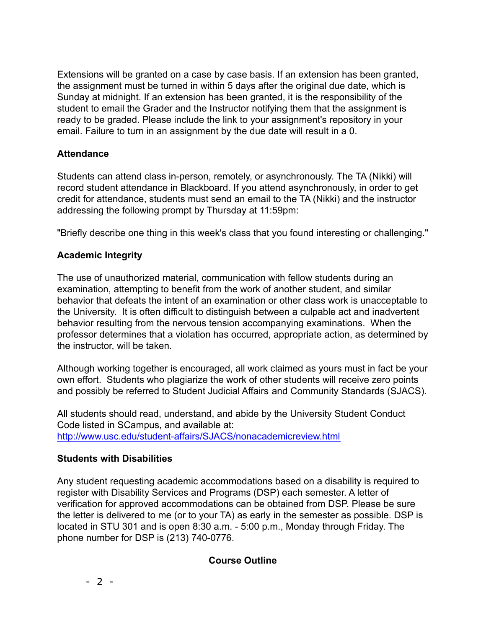Extensions will be granted on a case by case basis. If an extension has been granted, the assignment must be turned in within 5 days after the original due date, which is Sunday at midnight. If an extension has been granted, it is the responsibility of the student to email the Grader and the Instructor notifying them that the assignment is ready to be graded. Please include the link to your assignment's repository in your email. Failure to turn in an assignment by the due date will result in a 0.

## **Attendance**

Students can attend class in-person, remotely, or asynchronously. The TA (Nikki) will record student attendance in Blackboard. If you attend asynchronously, in order to get credit for attendance, students must send an email to the TA (Nikki) and the instructor addressing the following prompt by Thursday at 11:59pm:

"Briefly describe one thing in this week's class that you found interesting or challenging."

## **Academic Integrity**

The use of unauthorized material, communication with fellow students during an examination, attempting to benefit from the work of another student, and similar behavior that defeats the intent of an examination or other class work is unacceptable to the University. It is often difficult to distinguish between a culpable act and inadvertent behavior resulting from the nervous tension accompanying examinations. When the professor determines that a violation has occurred, appropriate action, as determined by the instructor, will be taken.

Although working together is encouraged, all work claimed as yours must in fact be your own effort. Students who plagiarize the work of other students will receive zero points and possibly be referred to Student Judicial Affairs and Community Standards (SJACS).

All students should read, understand, and abide by the University Student Conduct Code listed in SCampus, and available at: <http://www.usc.edu/student-affairs/SJACS/nonacademicreview.html>

#### **Students with Disabilities**

Any student requesting academic accommodations based on a disability is required to register with Disability Services and Programs (DSP) each semester. A letter of verification for approved accommodations can be obtained from DSP. Please be sure the letter is delivered to me (or to your TA) as early in the semester as possible. DSP is located in STU 301 and is open 8:30 a.m. - 5:00 p.m., Monday through Friday. The phone number for DSP is (213) 740-0776.

#### **Course Outline**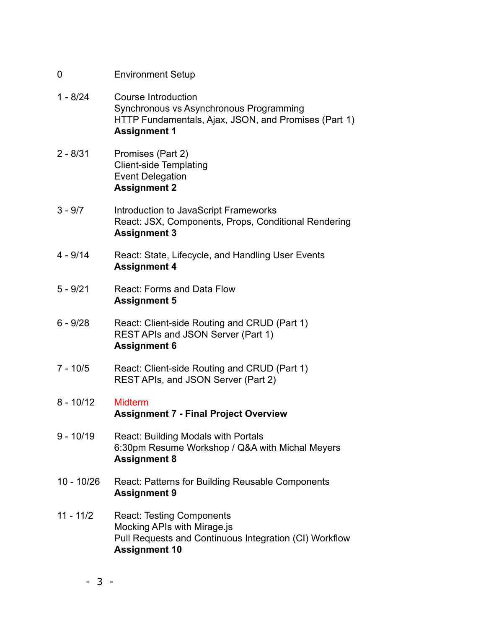- 1 8/24 Course Introduction Synchronous vs Asynchronous Programming HTTP Fundamentals, Ajax, JSON, and Promises (Part 1) **Assignment 1**
- 2 8/31 Promises (Part 2) Client-side Templating Event Delegation **Assignment 2**
- 3 9/7 Introduction to JavaScript Frameworks React: JSX, Components, Props, Conditional Rendering **Assignment 3**
- 4 9/14 React: State, Lifecycle, and Handling User Events **Assignment 4**
- 5 9/21 React: Forms and Data Flow **Assignment 5**
- 6 9/28 React: Client-side Routing and CRUD (Part 1) REST APIs and JSON Server (Part 1) **Assignment 6**
- 7 10/5 React: Client-side Routing and CRUD (Part 1) REST APIs, and JSON Server (Part 2)
- 8 10/12 Midterm **Assignment 7 - Final Project Overview**
- 9 10/19 React: Building Modals with Portals 6:30pm Resume Workshop / Q&A with Michal Meyers **Assignment 8**
- 10 10/26 React: Patterns for Building Reusable Components **Assignment 9**
- 11 11/2 React: Testing Components Mocking APIs with Mirage.js Pull Requests and Continuous Integration (CI) Workflow **Assignment 10**